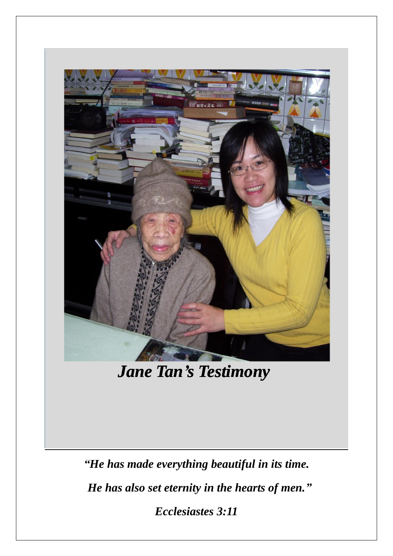

*Jane Tan's Testimony*

*"He has made everything beautiful in its time. He has also set eternity in the hearts of men." Ecclesiastes 3:11*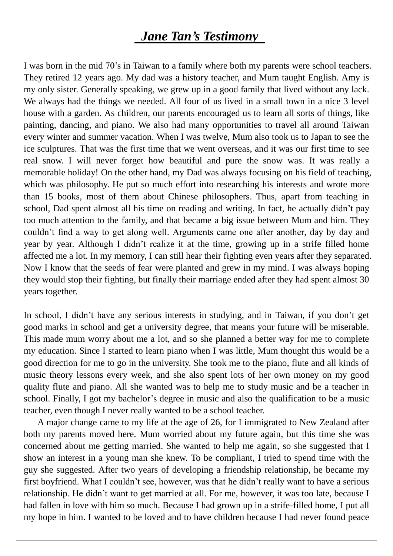# *Jane Tan's Testimony*

I was born in the mid 70's in Taiwan to a family where both my parents were school teachers. They retired 12 years ago. My dad was a history teacher, and Mum taught English. Amy is my only sister. Generally speaking, we grew up in a good family that lived without any lack. We always had the things we needed. All four of us lived in a small town in a nice 3 level house with a garden. As children, our parents encouraged us to learn all sorts of things, like painting, dancing, and piano. We also had many opportunities to travel all around Taiwan every winter and summer vacation. When I was twelve, Mum also took us to Japan to see the ice sculptures. That was the first time that we went overseas, and it was our first time to see real snow. I will never forget how beautiful and pure the snow was. It was really a memorable holiday! On the other hand, my Dad was always focusing on his field of teaching, which was philosophy. He put so much effort into researching his interests and wrote more than 15 books, most of them about Chinese philosophers. Thus, apart from teaching in school, Dad spent almost all his time on reading and writing. In fact, he actually didn't pay too much attention to the family, and that became a big issue between Mum and him. They couldn't find a way to get along well. Arguments came one after another, day by day and year by year. Although I didn't realize it at the time, growing up in a strife filled home affected me a lot. In my memory, I can still hear their fighting even years after they separated. Now I know that the seeds of fear were planted and grew in my mind. I was always hoping they would stop their fighting, but finally their marriage ended after they had spent almost 30 years together.

In school, I didn't have any serious interests in studying, and in Taiwan, if you don't get good marks in school and get a university degree, that means your future will be miserable. This made mum worry about me a lot, and so she planned a better way for me to complete my education. Since I started to learn piano when I was little, Mum thought this would be a good direction for me to go in the university. She took me to the piano, flute and all kinds of music theory lessons every week, and she also spent lots of her own money on my good quality flute and piano. All she wanted was to help me to study music and be a teacher in school. Finally, I got my bachelor's degree in music and also the qualification to be a music teacher, even though I never really wanted to be a school teacher.

 A major change came to my life at the age of 26, for I immigrated to New Zealand after both my parents moved here. Mum worried about my future again, but this time she was concerned about me getting married. She wanted to help me again, so she suggested that I show an interest in a young man she knew. To be compliant, I tried to spend time with the guy she suggested. After two years of developing a friendship relationship, he became my first boyfriend. What I couldn't see, however, was that he didn't really want to have a serious relationship. He didn't want to get married at all. For me, however, it was too late, because I had fallen in love with him so much. Because I had grown up in a strife-filled home, I put all my hope in him. I wanted to be loved and to have children because I had never found peace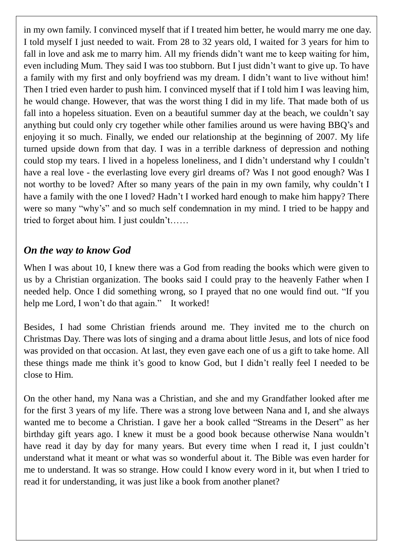in my own family. I convinced myself that if I treated him better, he would marry me one day. I told myself I just needed to wait. From 28 to 32 years old, I waited for 3 years for him to fall in love and ask me to marry him. All my friends didn't want me to keep waiting for him, even including Mum. They said I was too stubborn. But I just didn't want to give up. To have a family with my first and only boyfriend was my dream. I didn't want to live without him! Then I tried even harder to push him. I convinced myself that if I told him I was leaving him, he would change. However, that was the worst thing I did in my life. That made both of us fall into a hopeless situation. Even on a beautiful summer day at the beach, we couldn't say anything but could only cry together while other families around us were having BBQ's and enjoying it so much. Finally, we ended our relationship at the beginning of 2007. My life turned upside down from that day. I was in a terrible darkness of depression and nothing could stop my tears. I lived in a hopeless loneliness, and I didn't understand why I couldn't have a real love - the everlasting love every girl dreams of? Was I not good enough? Was I not worthy to be loved? After so many years of the pain in my own family, why couldn't I have a family with the one I loved? Hadn't I worked hard enough to make him happy? There were so many "why's" and so much self condemnation in my mind. I tried to be happy and tried to forget about him. I just couldn't……

## *On the way to know God*

When I was about 10, I knew there was a God from reading the books which were given to us by a Christian organization. The books said I could pray to the heavenly Father when I needed help. Once I did something wrong, so I prayed that no one would find out. "If you help me Lord, I won't do that again." It worked!

Besides, I had some Christian friends around me. They invited me to the church on Christmas Day. There was lots of singing and a drama about little Jesus, and lots of nice food was provided on that occasion. At last, they even gave each one of us a gift to take home. All these things made me think it's good to know God, but I didn't really feel I needed to be close to Him.

On the other hand, my Nana was a Christian, and she and my Grandfather looked after me for the first 3 years of my life. There was a strong love between Nana and I, and she always wanted me to become a Christian. I gave her a book called "Streams in the Desert" as her birthday gift years ago. I knew it must be a good book because otherwise Nana wouldn't have read it day by day for many years. But every time when I read it, I just couldn't understand what it meant or what was so wonderful about it. The Bible was even harder for me to understand. It was so strange. How could I know every word in it, but when I tried to read it for understanding, it was just like a book from another planet?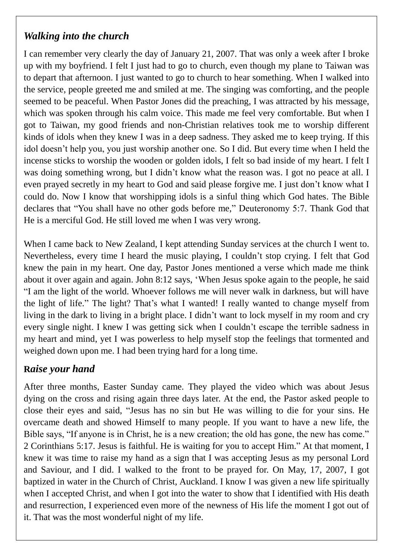# *Walking into the church*

I can remember very clearly the day of January 21, 2007. That was only a week after I broke up with my boyfriend. I felt I just had to go to church, even though my plane to Taiwan was to depart that afternoon. I just wanted to go to church to hear something. When I walked into the service, people greeted me and smiled at me. The singing was comforting, and the people seemed to be peaceful. When Pastor Jones did the preaching, I was attracted by his message, which was spoken through his calm voice. This made me feel very comfortable. But when I got to Taiwan, my good friends and non-Christian relatives took me to worship different kinds of idols when they knew I was in a deep sadness. They asked me to keep trying. If this idol doesn't help you, you just worship another one. So I did. But every time when I held the incense sticks to worship the wooden or golden idols, I felt so bad inside of my heart. I felt I was doing something wrong, but I didn't know what the reason was. I got no peace at all. I even prayed secretly in my heart to God and said please forgive me. I just don't know what I could do. Now I know that worshipping idols is a sinful thing which God hates. The Bible declares that "You shall have no other gods before me," Deuteronomy 5:7. Thank God that He is a merciful God. He still loved me when I was very wrong.

When I came back to New Zealand, I kept attending Sunday services at the church I went to. Nevertheless, every time I heard the music playing, I couldn't stop crying. I felt that God knew the pain in my heart. One day, Pastor Jones mentioned a verse which made me think about it over again and again. John 8:12 says, 'When Jesus spoke again to the people, he said "I am the light of the world. Whoever follows me will never walk in darkness, but will have the light of life." The light? That's what I wanted! I really wanted to change myself from living in the dark to living in a bright place. I didn't want to lock myself in my room and cry every single night. I knew I was getting sick when I couldn't escape the terrible sadness in my heart and mind, yet I was powerless to help myself stop the feelings that tormented and weighed down upon me. I had been trying hard for a long time.

## **R***aise your hand*

After three months, Easter Sunday came. They played the video which was about Jesus dying on the cross and rising again three days later. At the end, the Pastor asked people to close their eyes and said, "Jesus has no sin but He was willing to die for your sins. He overcame death and showed Himself to many people. If you want to have a new life, the Bible says, "If anyone is in Christ, he is a new creation; the old has gone, the new has come." 2 Corinthians 5:17. Jesus is faithful. He is waiting for you to accept Him." At that moment, I knew it was time to raise my hand as a sign that I was accepting Jesus as my personal Lord and Saviour, and I did. I walked to the front to be prayed for. On May, 17, 2007, I got baptized in water in the Church of Christ, Auckland. I know I was given a new life spiritually when I accepted Christ, and when I got into the water to show that I identified with His death and resurrection, I experienced even more of the newness of His life the moment I got out of it. That was the most wonderful night of my life.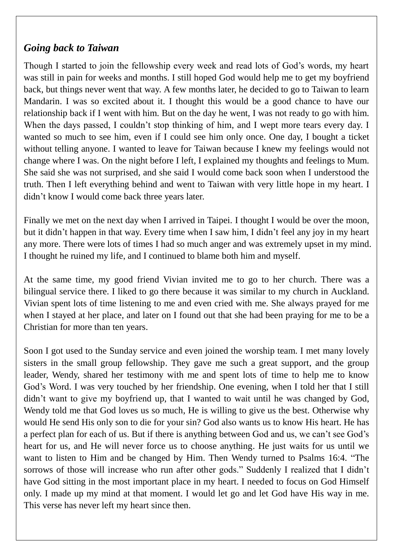## *Going back to Taiwan*

Though I started to join the fellowship every week and read lots of God's words, my heart was still in pain for weeks and months. I still hoped God would help me to get my boyfriend back, but things never went that way. A few months later, he decided to go to Taiwan to learn Mandarin. I was so excited about it. I thought this would be a good chance to have our relationship back if I went with him. But on the day he went, I was not ready to go with him. When the days passed, I couldn't stop thinking of him, and I wept more tears every day. I wanted so much to see him, even if I could see him only once. One day, I bought a ticket without telling anyone. I wanted to leave for Taiwan because I knew my feelings would not change where I was. On the night before I left, I explained my thoughts and feelings to Mum. She said she was not surprised, and she said I would come back soon when I understood the truth. Then I left everything behind and went to Taiwan with very little hope in my heart. I didn't know I would come back three years later.

Finally we met on the next day when I arrived in Taipei. I thought I would be over the moon, but it didn't happen in that way. Every time when I saw him, I didn't feel any joy in my heart any more. There were lots of times I had so much anger and was extremely upset in my mind. I thought he ruined my life, and I continued to blame both him and myself.

At the same time, my good friend Vivian invited me to go to her church. There was a bilingual service there. I liked to go there because it was similar to my church in Auckland. Vivian spent lots of time listening to me and even cried with me. She always prayed for me when I stayed at her place, and later on I found out that she had been praying for me to be a Christian for more than ten years.

Soon I got used to the Sunday service and even joined the worship team. I met many lovely sisters in the small group fellowship. They gave me such a great support, and the group leader, Wendy, shared her testimony with me and spent lots of time to help me to know God's Word. I was very touched by her friendship. One evening, when I told her that I still didn't want to give my boyfriend up, that I wanted to wait until he was changed by God, Wendy told me that God loves us so much, He is willing to give us the best. Otherwise why would He send His only son to die for your sin? God also wants us to know His heart. He has a perfect plan for each of us. But if there is anything between God and us, we can't see God's heart for us, and He will never force us to choose anything. He just waits for us until we want to listen to Him and be changed by Him. Then Wendy turned to Psalms 16:4. "The sorrows of those will increase who run after other gods." Suddenly I realized that I didn't have God sitting in the most important place in my heart. I needed to focus on God Himself only. I made up my mind at that moment. I would let go and let God have His way in me. This verse has never left my heart since then.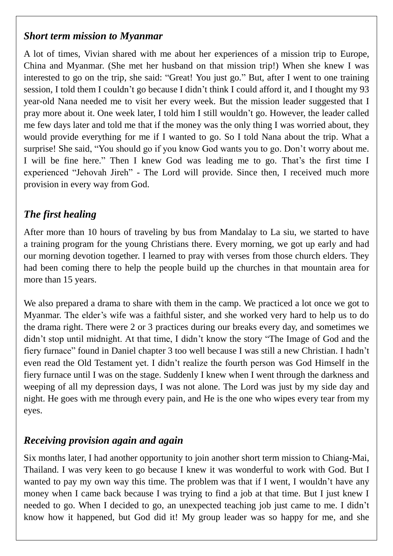## *Short term mission to Myanmar*

A lot of times, Vivian shared with me about her experiences of a mission trip to Europe, China and Myanmar. (She met her husband on that mission trip!) When she knew I was interested to go on the trip, she said: "Great! You just go." But, after I went to one training session, I told them I couldn't go because I didn't think I could afford it, and I thought my 93 year-old Nana needed me to visit her every week. But the mission leader suggested that I pray more about it. One week later, I told him I still wouldn't go. However, the leader called me few days later and told me that if the money was the only thing I was worried about, they would provide everything for me if I wanted to go. So I told Nana about the trip. What a surprise! She said, "You should go if you know God wants you to go. Don't worry about me. I will be fine here." Then I knew God was leading me to go. That's the first time I experienced "Jehovah Jireh" - The Lord will provide. Since then, I received much more provision in every way from God.

# *The first healing*

After more than 10 hours of traveling by bus from Mandalay to La siu, we started to have a training program for the young Christians there. Every morning, we got up early and had our morning devotion together. I learned to pray with verses from those church elders. They had been coming there to help the people build up the churches in that mountain area for more than 15 years.

We also prepared a drama to share with them in the camp. We practiced a lot once we got to Myanmar. The elder's wife was a faithful sister, and she worked very hard to help us to do the drama right. There were 2 or 3 practices during our breaks every day, and sometimes we didn't stop until midnight. At that time, I didn't know the story "The Image of God and the fiery furnace" found in Daniel chapter 3 too well because I was still a new Christian. I hadn't even read the Old Testament yet. I didn't realize the fourth person was God Himself in the fiery furnace until I was on the stage. Suddenly I knew when I went through the darkness and weeping of all my depression days, I was not alone. The Lord was just by my side day and night. He goes with me through every pain, and He is the one who wipes every tear from my eyes.

# *Receiving provision again and again*

Six months later, I had another opportunity to join another short term mission to Chiang-Mai, Thailand. I was very keen to go because I knew it was wonderful to work with God. But I wanted to pay my own way this time. The problem was that if I went, I wouldn't have any money when I came back because I was trying to find a job at that time. But I just knew I needed to go. When I decided to go, an unexpected teaching job just came to me. I didn't know how it happened, but God did it! My group leader was so happy for me, and she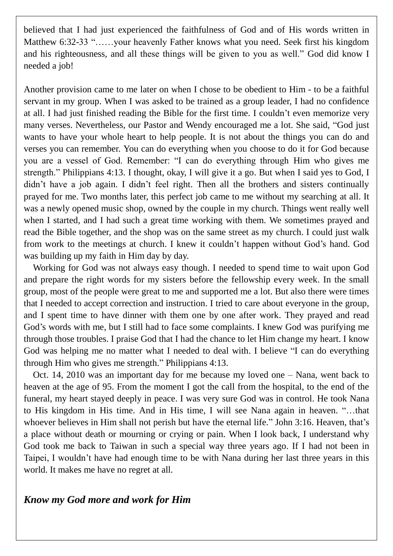believed that I had just experienced the faithfulness of God and of His words written in Matthew 6:32-33 "……your heavenly Father knows what you need. Seek first his kingdom and his righteousness, and all these things will be given to you as well." God did know I needed a job!

Another provision came to me later on when I chose to be obedient to Him - to be a faithful servant in my group. When I was asked to be trained as a group leader, I had no confidence at all. I had just finished reading the Bible for the first time. I couldn't even memorize very many verses. Nevertheless, our Pastor and Wendy encouraged me a lot. She said, "God just wants to have your whole heart to help people. It is not about the things you can do and verses you can remember. You can do everything when you choose to do it for God because you are a vessel of God. Remember: "I can do everything through Him who gives me strength." Philippians 4:13. I thought, okay, I will give it a go. But when I said yes to God, I didn't have a job again. I didn't feel right. Then all the brothers and sisters continually prayed for me. Two months later, this perfect job came to me without my searching at all. It was a newly opened music shop, owned by the couple in my church. Things went really well when I started, and I had such a great time working with them. We sometimes prayed and read the Bible together, and the shop was on the same street as my church. I could just walk from work to the meetings at church. I knew it couldn't happen without God's hand. God was building up my faith in Him day by day.

Working for God was not always easy though. I needed to spend time to wait upon God and prepare the right words for my sisters before the fellowship every week. In the small group, most of the people were great to me and supported me a lot. But also there were times that I needed to accept correction and instruction. I tried to care about everyone in the group, and I spent time to have dinner with them one by one after work. They prayed and read God's words with me, but I still had to face some complaints. I knew God was purifying me through those troubles. I praise God that I had the chance to let Him change my heart. I know God was helping me no matter what I needed to deal with. I believe "I can do everything through Him who gives me strength." Philippians 4:13.

Oct. 14, 2010 was an important day for me because my loved one – Nana, went back to heaven at the age of 95. From the moment I got the call from the hospital, to the end of the funeral, my heart stayed deeply in peace. I was very sure God was in control. He took Nana to His kingdom in His time. And in His time, I will see Nana again in heaven. "…that whoever believes in Him shall not perish but have the eternal life." John 3:16. Heaven, that's a place without death or mourning or crying or pain. When I look back, I understand why God took me back to Taiwan in such a special way three years ago. If I had not been in Taipei, I wouldn't have had enough time to be with Nana during her last three years in this world. It makes me have no regret at all.

## *Know my God more and work for Him*